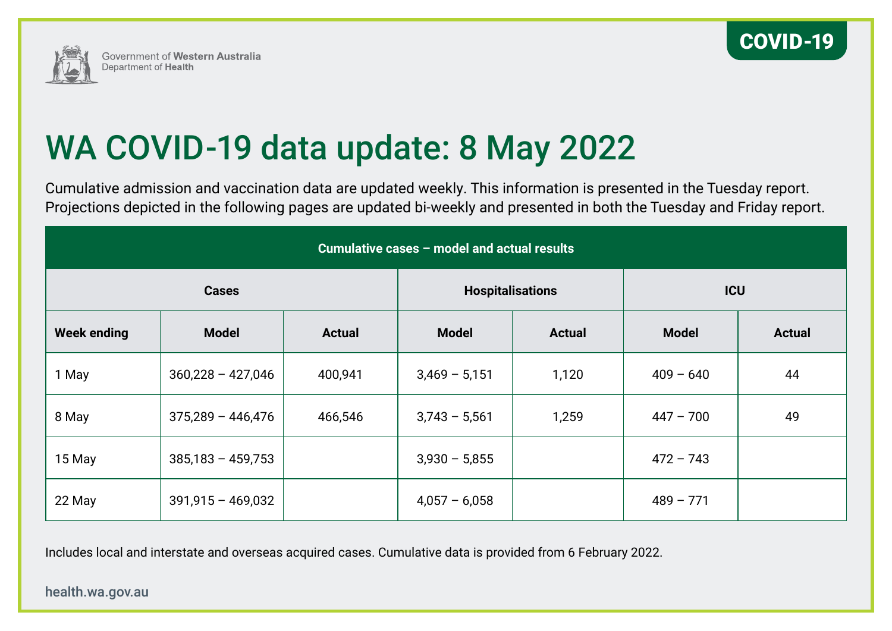



# WA COVID-19 data update: 8 May 2022

Cumulative admission and vaccination data are updated weekly. This information is presented in the Tuesday report. Projections depicted in the following pages are updated bi-weekly and presented in both the Tuesday and Friday report.

| Cumulative cases - model and actual results |                     |               |                         |               |              |               |
|---------------------------------------------|---------------------|---------------|-------------------------|---------------|--------------|---------------|
| <b>Cases</b>                                |                     |               | <b>Hospitalisations</b> |               | <b>ICU</b>   |               |
| <b>Week ending</b>                          | <b>Model</b>        | <b>Actual</b> | <b>Model</b>            | <b>Actual</b> | <b>Model</b> | <b>Actual</b> |
| 1 May                                       | $360,228 - 427,046$ | 400,941       | $3,469 - 5,151$         | 1,120         | $409 - 640$  | 44            |
| 8 May                                       | $375,289 - 446,476$ | 466,546       | $3,743 - 5,561$         | 1,259         | $447 - 700$  | 49            |
| 15 May                                      | $385,183 - 459,753$ |               | $3,930 - 5,855$         |               | $472 - 743$  |               |
| 22 May                                      | $391,915 - 469,032$ |               | $4,057 - 6,058$         |               | $489 - 771$  |               |

Includes local and interstate and overseas acquired cases. Cumulative data is provided from 6 February 2022.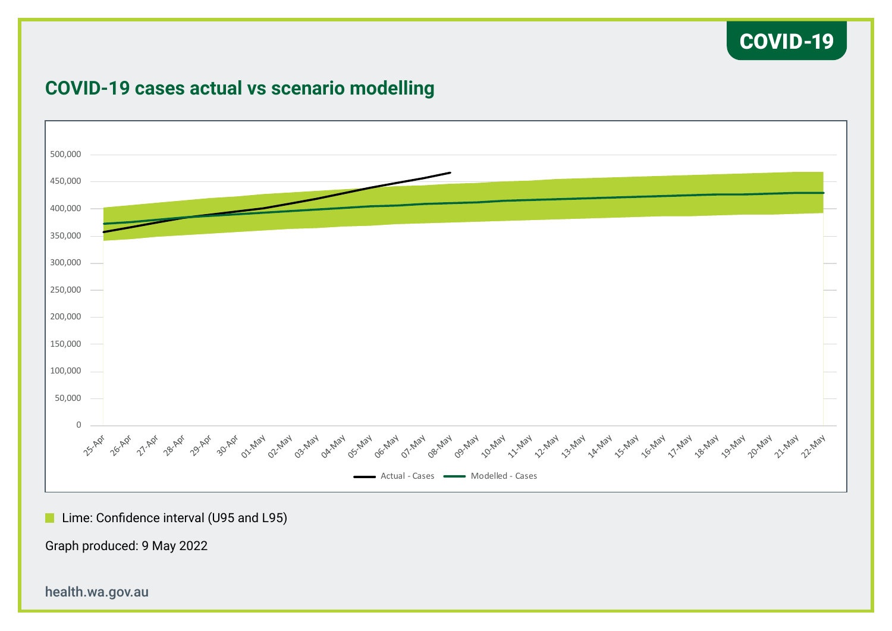

### 500,000 450,000 400,000 350,000 300,000 250,000 200,000 150,000 100,000 50,000 25-Apr 26-Apr 27-Apr 28-Apr 20-Apr 21-May 22-May 23-May 24-May **Partlay** ay doillay **124 1224 0 PA 124 C** one of the little diverse the little diverse that the development is the little diverse trans the diverse that Actual - Cases **- Modelled** - Cases

### **COVID-19 cases actual vs scenario modelling**

**Lime: Confidence interval (U95 and L95)** 

Graph produced: 9 May 2022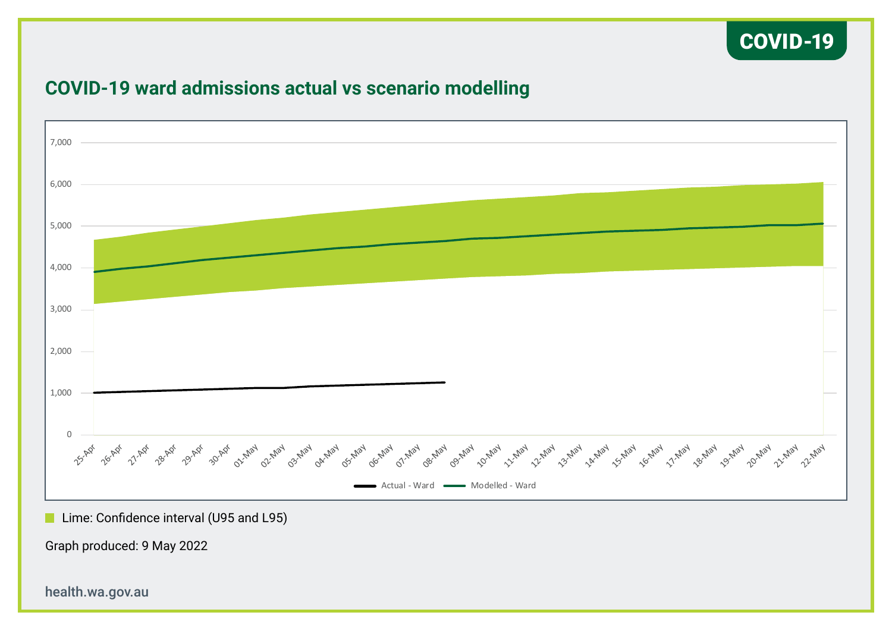### COVID-19



### **COVID-19 ward admissions actual vs scenario modelling**

**Lime: Confidence interval (U95 and L95)** 

Graph produced: 9 May 2022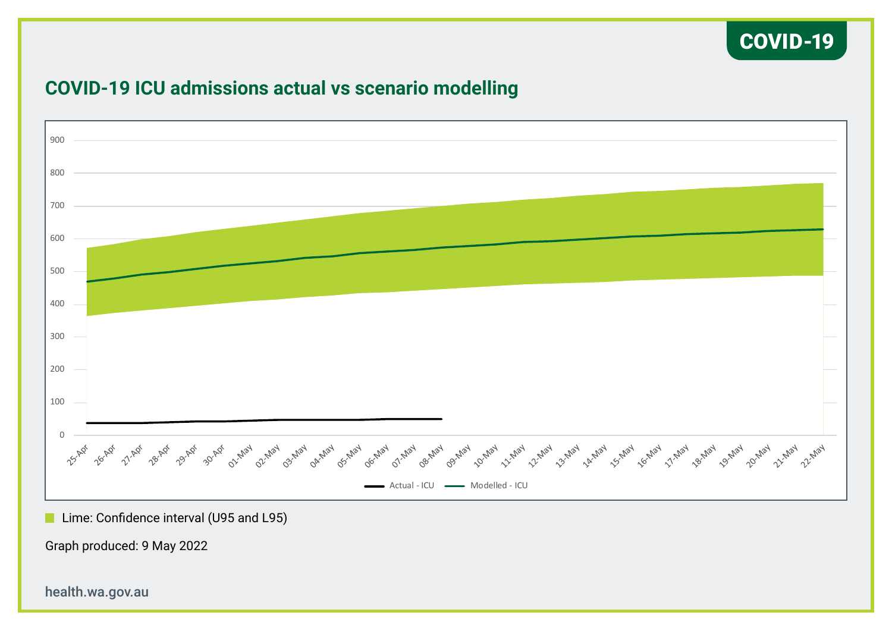### COVID-19



### **COVID-19 ICU admissions actual vs scenario modelling**

**Lime: Confidence interval (U95 and L95)** 

Graph produced: 9 May 2022